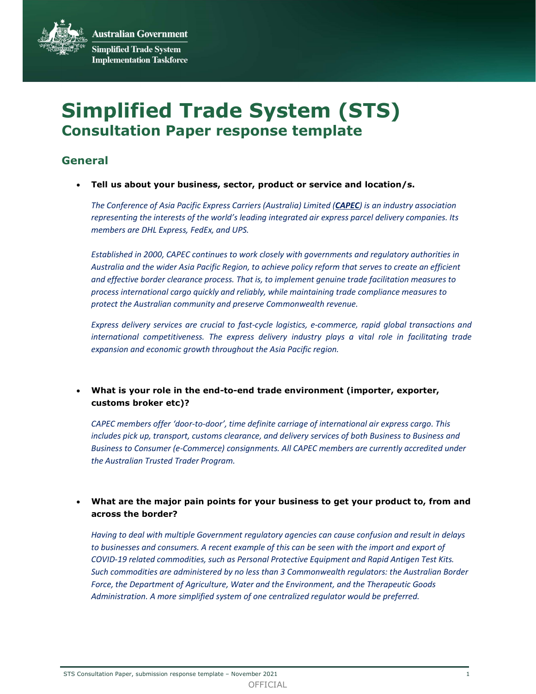**Australian Government Simplified Trade System Implementation Taskforce** 

# Simplified Trade System (STS) Consultation Paper response template

## General

Tell us about your business, sector, product or service and location/s.

The Conference of Asia Pacific Express Carriers (Australia) Limited (CAPEC) is an industry association representing the interests of the world's leading integrated air express parcel delivery companies. Its members are DHL Express, FedEx, and UPS.

Established in 2000, CAPEC continues to work closely with governments and regulatory authorities in Australia and the wider Asia Pacific Region, to achieve policy reform that serves to create an efficient and effective border clearance process. That is, to implement genuine trade facilitation measures to process international cargo quickly and reliably, while maintaining trade compliance measures to protect the Australian community and preserve Commonwealth revenue.

Express delivery services are crucial to fast-cycle logistics, e-commerce, rapid global transactions and international competitiveness. The express delivery industry plays a vital role in facilitating trade expansion and economic growth throughout the Asia Pacific region.

#### What is your role in the end-to-end trade environment (importer, exporter, customs broker etc)?

CAPEC members offer 'door-to-door', time definite carriage of international air express cargo. This includes pick up, transport, customs clearance, and delivery services of both Business to Business and Business to Consumer (e-Commerce) consignments. All CAPEC members are currently accredited under the Australian Trusted Trader Program.

 What are the major pain points for your business to get your product to, from and across the border?

Having to deal with multiple Government regulatory agencies can cause confusion and result in delays to businesses and consumers. A recent example of this can be seen with the import and export of COVID-19 related commodities, such as Personal Protective Equipment and Rapid Antigen Test Kits. Such commodities are administered by no less than 3 Commonwealth regulators: the Australian Border Force, the Department of Agriculture, Water and the Environment, and the Therapeutic Goods Administration. A more simplified system of one centralized regulator would be preferred.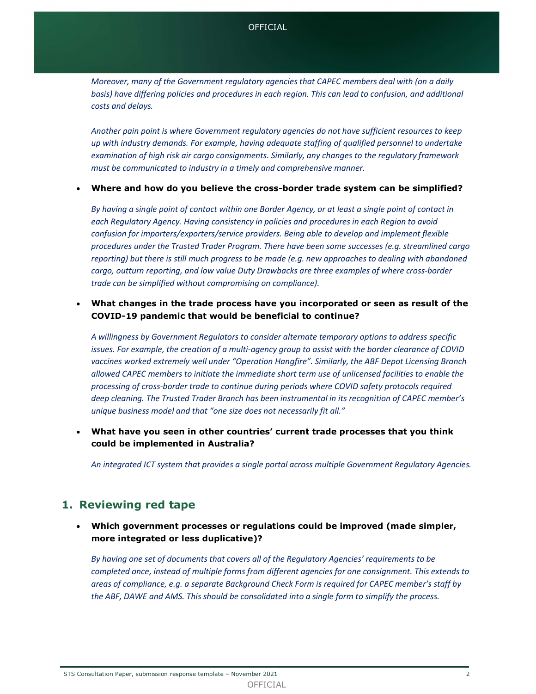Moreover, many of the Government regulatory agencies that CAPEC members deal with (on a daily basis) have differing policies and procedures in each region. This can lead to confusion, and additional costs and delays.

Another pain point is where Government regulatory agencies do not have sufficient resources to keep up with industry demands. For example, having adequate staffing of qualified personnel to undertake examination of high risk air cargo consignments. Similarly, any changes to the regulatory framework must be communicated to industry in a timely and comprehensive manner.

Where and how do you believe the cross-border trade system can be simplified?

By having a single point of contact within one Border Agency, or at least a single point of contact in each Regulatory Agency. Having consistency in policies and procedures in each Region to avoid confusion for importers/exporters/service providers. Being able to develop and implement flexible procedures under the Trusted Trader Program. There have been some successes (e.g. streamlined cargo reporting) but there is still much progress to be made (e.g. new approaches to dealing with abandoned cargo, outturn reporting, and low value Duty Drawbacks are three examples of where cross-border trade can be simplified without compromising on compliance).

#### What changes in the trade process have you incorporated or seen as result of the COVID-19 pandemic that would be beneficial to continue?

A willingness by Government Regulators to consider alternate temporary options to address specific issues. For example, the creation of a multi-agency group to assist with the border clearance of COVID vaccines worked extremely well under "Operation Hangfire". Similarly, the ABF Depot Licensing Branch allowed CAPEC members to initiate the immediate short term use of unlicensed facilities to enable the processing of cross-border trade to continue during periods where COVID safety protocols required deep cleaning. The Trusted Trader Branch has been instrumental in its recognition of CAPEC member's unique business model and that "one size does not necessarily fit all."

 What have you seen in other countries' current trade processes that you think could be implemented in Australia?

An integrated ICT system that provides a single portal across multiple Government Regulatory Agencies.

## 1. Reviewing red tape

#### Which government processes or regulations could be improved (made simpler, more integrated or less duplicative)?

By having one set of documents that covers all of the Regulatory Agencies' requirements to be completed once, instead of multiple forms from different agencies for one consignment. This extends to areas of compliance, e.g. a separate Background Check Form is required for CAPEC member's staff by the ABF, DAWE and AMS. This should be consolidated into a single form to simplify the process.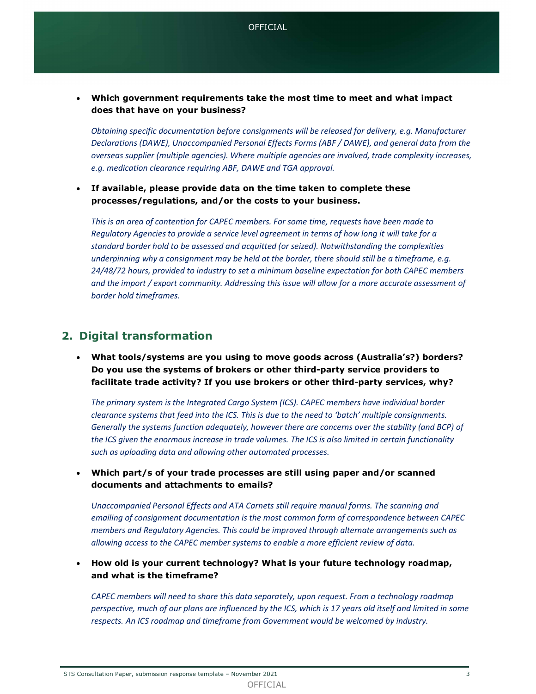Which government requirements take the most time to meet and what impact does that have on your business?

Obtaining specific documentation before consignments will be released for delivery, e.g. Manufacturer Declarations (DAWE), Unaccompanied Personal Effects Forms (ABF / DAWE), and general data from the overseas supplier (multiple agencies). Where multiple agencies are involved, trade complexity increases, e.g. medication clearance requiring ABF, DAWE and TGA approval.

 If available, please provide data on the time taken to complete these processes/regulations, and/or the costs to your business.

This is an area of contention for CAPEC members. For some time, requests have been made to Regulatory Agencies to provide a service level agreement in terms of how long it will take for a standard border hold to be assessed and acquitted (or seized). Notwithstanding the complexities underpinning why a consignment may be held at the border, there should still be a timeframe, e.g. 24/48/72 hours, provided to industry to set a minimum baseline expectation for both CAPEC members and the import / export community. Addressing this issue will allow for a more accurate assessment of border hold timeframes.

## 2. Digital transformation

 What tools/systems are you using to move goods across (Australia's?) borders? Do you use the systems of brokers or other third-party service providers to facilitate trade activity? If you use brokers or other third-party services, why?

The primary system is the Integrated Cargo System (ICS). CAPEC members have individual border clearance systems that feed into the ICS. This is due to the need to 'batch' multiple consignments. Generally the systems function adequately, however there are concerns over the stability (and BCP) of the ICS given the enormous increase in trade volumes. The ICS is also limited in certain functionality such as uploading data and allowing other automated processes.

 Which part/s of your trade processes are still using paper and/or scanned documents and attachments to emails?

Unaccompanied Personal Effects and ATA Carnets still require manual forms. The scanning and emailing of consignment documentation is the most common form of correspondence between CAPEC members and Regulatory Agencies. This could be improved through alternate arrangements such as allowing access to the CAPEC member systems to enable a more efficient review of data.

 How old is your current technology? What is your future technology roadmap, and what is the timeframe?

CAPEC members will need to share this data separately, upon request. From a technology roadmap perspective, much of our plans are influenced by the ICS, which is 17 years old itself and limited in some respects. An ICS roadmap and timeframe from Government would be welcomed by industry.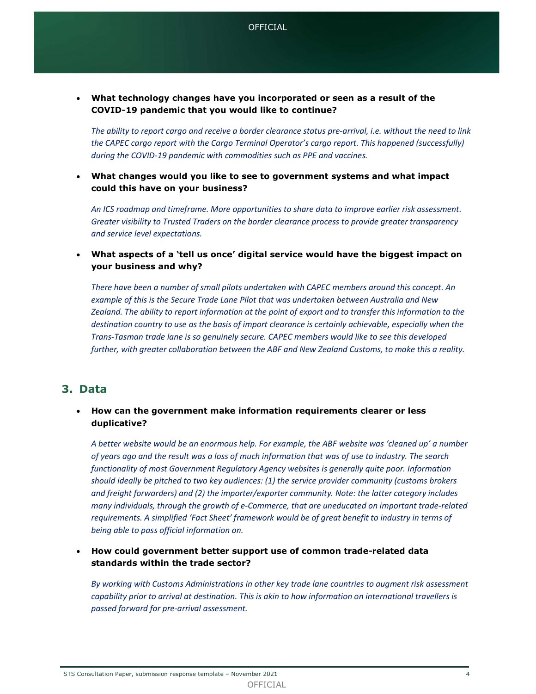What technology changes have you incorporated or seen as a result of the COVID-19 pandemic that you would like to continue?

The ability to report cargo and receive a border clearance status pre-arrival, i.e. without the need to link the CAPEC cargo report with the Cargo Terminal Operator's cargo report. This happened (successfully) during the COVID-19 pandemic with commodities such as PPE and vaccines.

 What changes would you like to see to government systems and what impact could this have on your business?

An ICS roadmap and timeframe. More opportunities to share data to improve earlier risk assessment. Greater visibility to Trusted Traders on the border clearance process to provide greater transparency and service level expectations.

 What aspects of a 'tell us once' digital service would have the biggest impact on your business and why?

There have been a number of small pilots undertaken with CAPEC members around this concept. An example of this is the Secure Trade Lane Pilot that was undertaken between Australia and New Zealand. The ability to report information at the point of export and to transfer this information to the destination country to use as the basis of import clearance is certainly achievable, especially when the Trans-Tasman trade lane is so genuinely secure. CAPEC members would like to see this developed further, with greater collaboration between the ABF and New Zealand Customs, to make this a reality.

#### 3. Data

#### How can the government make information requirements clearer or less duplicative?

A better website would be an enormous help. For example, the ABF website was 'cleaned up' a number of years ago and the result was a loss of much information that was of use to industry. The search functionality of most Government Regulatory Agency websites is generally quite poor. Information should ideally be pitched to two key audiences: (1) the service provider community (customs brokers and freight forwarders) and (2) the importer/exporter community. Note: the latter category includes many individuals, through the growth of e-Commerce, that are uneducated on important trade-related requirements. A simplified 'Fact Sheet' framework would be of great benefit to industry in terms of being able to pass official information on.

 How could government better support use of common trade-related data standards within the trade sector?

By working with Customs Administrations in other key trade lane countries to augment risk assessment capability prior to arrival at destination. This is akin to how information on international travellers is passed forward for pre-arrival assessment.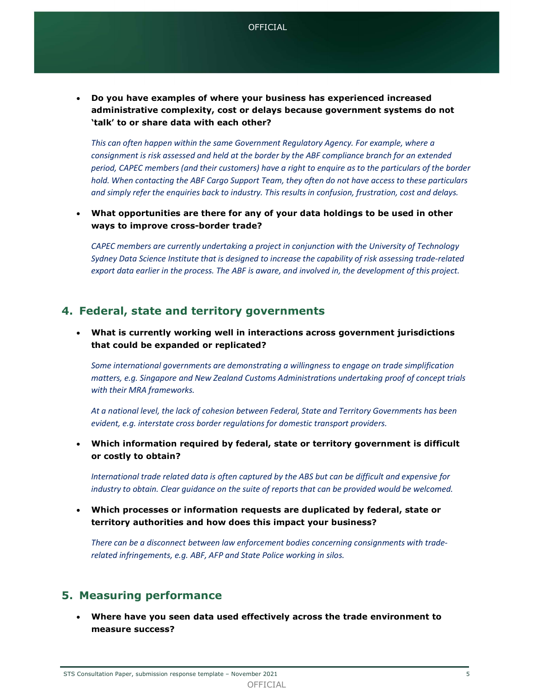Do you have examples of where your business has experienced increased administrative complexity, cost or delays because government systems do not 'talk' to or share data with each other?

This can often happen within the same Government Regulatory Agency. For example, where a consignment is risk assessed and held at the border by the ABF compliance branch for an extended period, CAPEC members (and their customers) have a right to enquire as to the particulars of the border hold. When contacting the ABF Cargo Support Team, they often do not have access to these particulars and simply refer the enquiries back to industry. This results in confusion, frustration, cost and delays.

 What opportunities are there for any of your data holdings to be used in other ways to improve cross-border trade?

CAPEC members are currently undertaking a project in conjunction with the University of Technology Sydney Data Science Institute that is designed to increase the capability of risk assessing trade-related export data earlier in the process. The ABF is aware, and involved in, the development of this project.

#### 4. Federal, state and territory governments

 What is currently working well in interactions across government jurisdictions that could be expanded or replicated?

Some international governments are demonstrating a willingness to engage on trade simplification matters, e.g. Singapore and New Zealand Customs Administrations undertaking proof of concept trials with their MRA frameworks.

At a national level, the lack of cohesion between Federal, State and Territory Governments has been evident, e.g. interstate cross border regulations for domestic transport providers.

 Which information required by federal, state or territory government is difficult or costly to obtain?

International trade related data is often captured by the ABS but can be difficult and expensive for industry to obtain. Clear guidance on the suite of reports that can be provided would be welcomed.

 Which processes or information requests are duplicated by federal, state or territory authorities and how does this impact your business?

There can be a disconnect between law enforcement bodies concerning consignments with traderelated infringements, e.g. ABF, AFP and State Police working in silos.

## 5. Measuring performance

 Where have you seen data used effectively across the trade environment to measure success?